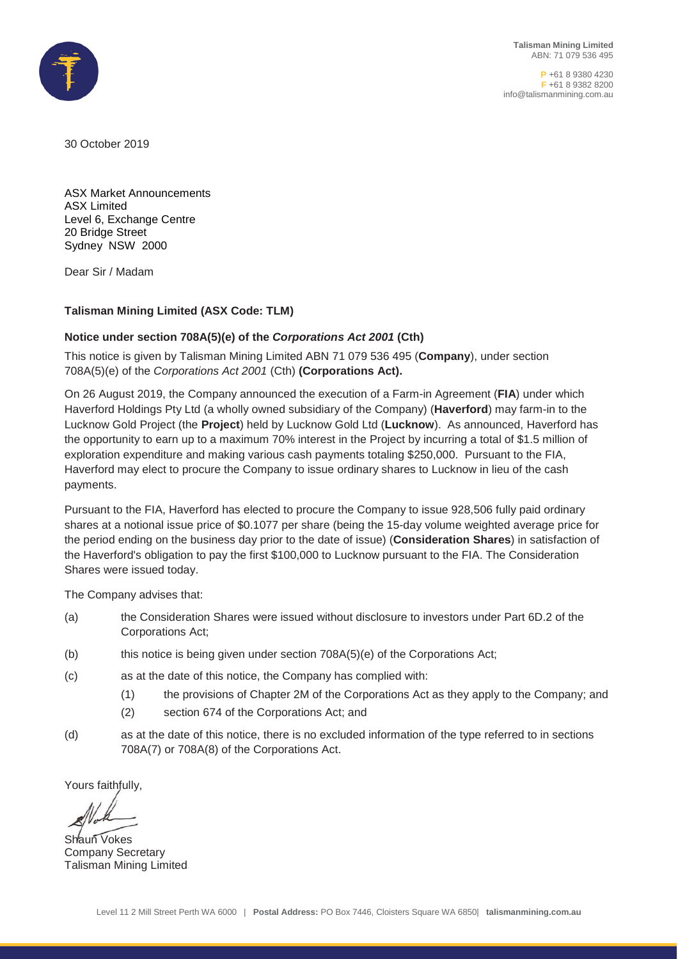

**P** +61 8 9380 4230 **F** +61 8 9382 8200 info@talismanmining.com.au

30 October 2019

ASX Market Announcements ASX Limited Level 6, Exchange Centre 20 Bridge Street Sydney NSW 2000

Dear Sir / Madam

#### **Talisman Mining Limited (ASX Code: TLM)**

### **Notice under section 708A(5)(e) of the** *Corporations Act 2001* **(Cth)**

This notice is given by Talisman Mining Limited ABN 71 079 536 495 (**Company**), under section 708A(5)(e) of the *Corporations Act 2001* (Cth) **(Corporations Act).**

On 26 August 2019, the Company announced the execution of a Farm-in Agreement (**FIA**) under which Haverford Holdings Pty Ltd (a wholly owned subsidiary of the Company) (**Haverford**) may farm-in to the Lucknow Gold Project (the **Project**) held by Lucknow Gold Ltd (**Lucknow**). As announced, Haverford has the opportunity to earn up to a maximum 70% interest in the Project by incurring a total of \$1.5 million of exploration expenditure and making various cash payments totaling \$250,000. Pursuant to the FIA, Haverford may elect to procure the Company to issue ordinary shares to Lucknow in lieu of the cash payments.

Pursuant to the FIA, Haverford has elected to procure the Company to issue 928,506 fully paid ordinary shares at a notional issue price of \$0.1077 per share (being the 15-day volume weighted average price for the period ending on the business day prior to the date of issue) (**Consideration Shares**) in satisfaction of the Haverford's obligation to pay the first \$100,000 to Lucknow pursuant to the FIA. The Consideration Shares were issued today.

The Company advises that:

- (a) the Consideration Shares were issued without disclosure to investors under Part 6D.2 of the Corporations Act;
- (b) this notice is being given under section 708A(5)(e) of the Corporations Act;
- (c) as at the date of this notice, the Company has complied with:
	- (1) the provisions of Chapter 2M of the Corporations Act as they apply to the Company; and
	- (2) section 674 of the Corporations Act; and
- (d) as at the date of this notice, there is no excluded information of the type referred to in sections 708A(7) or 708A(8) of the Corporations Act.

Yours faithfully,

Shaun Vokes Company Secretary Talisman Mining Limited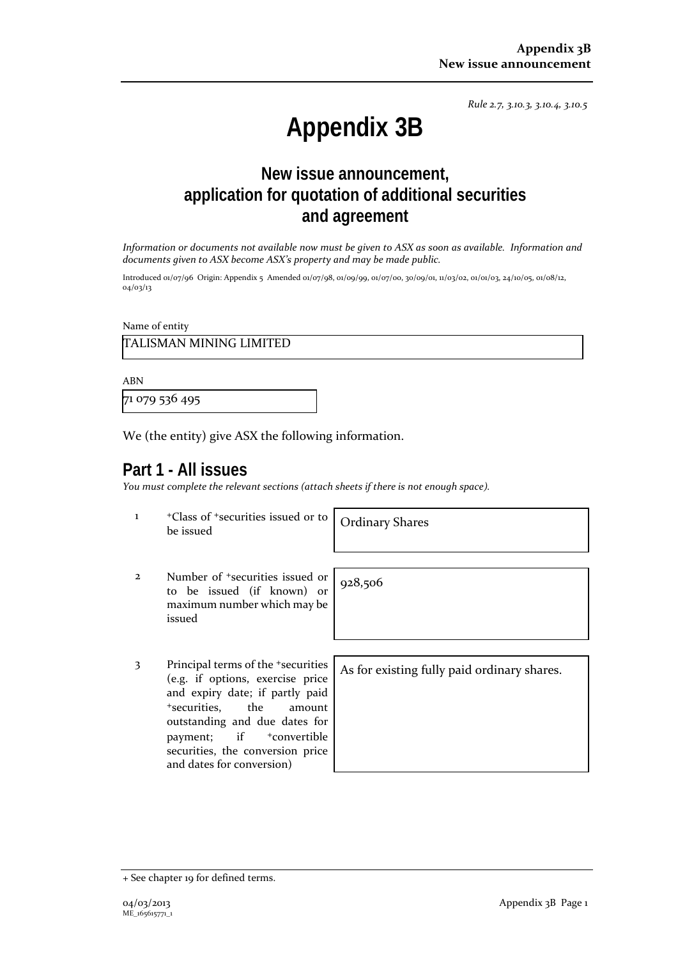*Rule 2.7, 3.10.3, 3.10.4, 3.10.5*

# **Appendix 3B**

# **New issue announcement, application for quotation of additional securities and agreement**

*Information or documents not available now must be given to ASX as soon as available. Information and documents given to ASX become ASX's property and may be made public.*

Introduced 01/07/96 Origin: Appendix 5 Amended 01/07/98, 01/09/99, 01/07/00, 30/09/01, 11/03/02, 01/01/03, 24/10/05, 01/08/12, 04/03/13

Name of entity

TALISMAN MINING LIMITED

ABN

71 079 536 495

We (the entity) give ASX the following information.

## **Part 1 - All issues**

*You must complete the relevant sections (attach sheets if there is not enough space).*

<sup>1</sup> <sup>+</sup>Class of <sup>+</sup>securities issued or to **Ordinary Shares** be issued

928,506

- 2 Number of +securities issued or to be issued (if known) or maximum number which may be issued
- 3 Principal terms of the +securities (e.g. if options, exercise price and expiry date; if partly paid +securities, the amount outstanding and due dates for payment; if <sup>+</sup>convertible securities, the conversion price and dates for conversion)

As for existing fully paid ordinary shares.

<sup>+</sup> See chapter 19 for defined terms.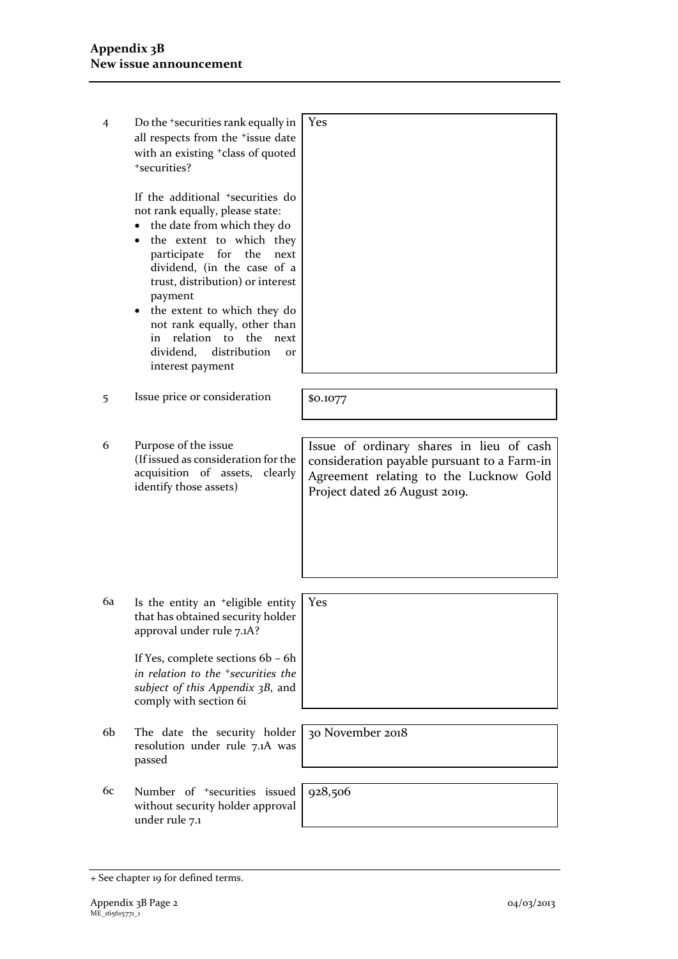| 4  | Do the <sup>+</sup> securities rank equally in<br>all respects from the <sup>+</sup> issue date<br>with an existing <sup>+</sup> class of quoted<br>+securities?                                                                                                                                                                                                                                                                | Yes                                                                                                                                                                |
|----|---------------------------------------------------------------------------------------------------------------------------------------------------------------------------------------------------------------------------------------------------------------------------------------------------------------------------------------------------------------------------------------------------------------------------------|--------------------------------------------------------------------------------------------------------------------------------------------------------------------|
|    | If the additional <sup>+</sup> securities do<br>not rank equally, please state:<br>the date from which they do<br>the extent to which they<br>for<br>participate<br>the<br>next<br>dividend, (in the case of a<br>trust, distribution) or interest<br>payment<br>the extent to which they do<br>not rank equally, other than<br>relation to<br>the<br>in.<br>next<br>dividend,<br>distribution<br><b>or</b><br>interest payment |                                                                                                                                                                    |
| 5  | Issue price or consideration                                                                                                                                                                                                                                                                                                                                                                                                    | \$0.1077                                                                                                                                                           |
| 6  | Purpose of the issue<br>(If issued as consideration for the<br>acquisition of assets,<br>clearly<br>identify those assets)                                                                                                                                                                                                                                                                                                      | Issue of ordinary shares in lieu of cash<br>consideration payable pursuant to a Farm-in<br>Agreement relating to the Lucknow Gold<br>Project dated 26 August 2019. |
| 6a | Is the entity an <sup>+</sup> eligible entity<br>that has obtained security holder<br>approval under rule 7.1A?<br>If Yes, complete sections 6b - 6h<br>in relation to the <sup>+</sup> securities the<br>subject of this Appendix 3B, and<br>comply with section 6i                                                                                                                                                            | Yes                                                                                                                                                                |
| 6b | The date the security holder<br>resolution under rule 7.1A was<br>passed                                                                                                                                                                                                                                                                                                                                                        | 30 November 2018                                                                                                                                                   |
| 6с | Number of <sup>+</sup> securities issued<br>without security holder approval<br>under rule 7.1                                                                                                                                                                                                                                                                                                                                  | 928,506                                                                                                                                                            |
|    |                                                                                                                                                                                                                                                                                                                                                                                                                                 |                                                                                                                                                                    |

<sup>+</sup> See chapter 19 for defined terms.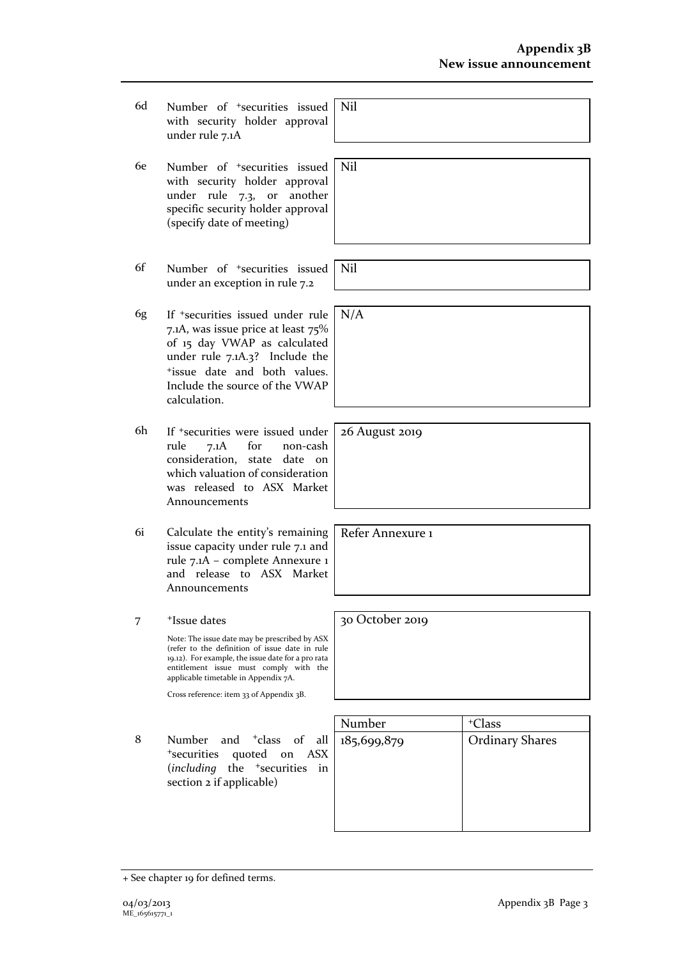- 6d Number of +securities issued with security holder approval under rule 7.1A
- 6e Number of +securities issued with security holder approval under rule 7.3, or another specific security holder approval (specify date of meeting)
- 6f Number of +securities issued under an exception in rule 7.2
- 6g If +securities issued under rule 7.1A, was issue price at least 75% of 15 day VWAP as calculated under rule 7.1A.3? Include the +issue date and both values. Include the source of the VWAP calculation.
- 6h If +securities were issued under rule 7.1A for non-cash consideration, state date on which valuation of consideration was released to ASX Market Announcements
- 6i Calculate the entity's remaining issue capacity under rule 7.1 and rule 7.1A – complete Annexure 1 and release to ASX Market Announcements

#### 7 +Issue dates

Note: The issue date may be prescribed by ASX (refer to the definition of issue date in rule 19.12). For example, the issue date for a pro rata entitlement issue must comply with the applicable timetable in Appendix 7A.

Cross reference: item 33 of Appendix 3B.

8 Number and <sup>+</sup>class of all <sup>+</sup>securities quoted on ASX (*including* the <sup>+</sup>securities in section 2 if applicable)

| Number      | <sup>+</sup> Class     |
|-------------|------------------------|
| 185,699,879 | <b>Ordinary Shares</b> |
|             |                        |
|             |                        |
|             |                        |
|             |                        |
|             |                        |

Nil

Nil

Nil

N/A

26 August 2019

Refer Annexure 1

30 October 2019

+ See chapter 19 for defined terms.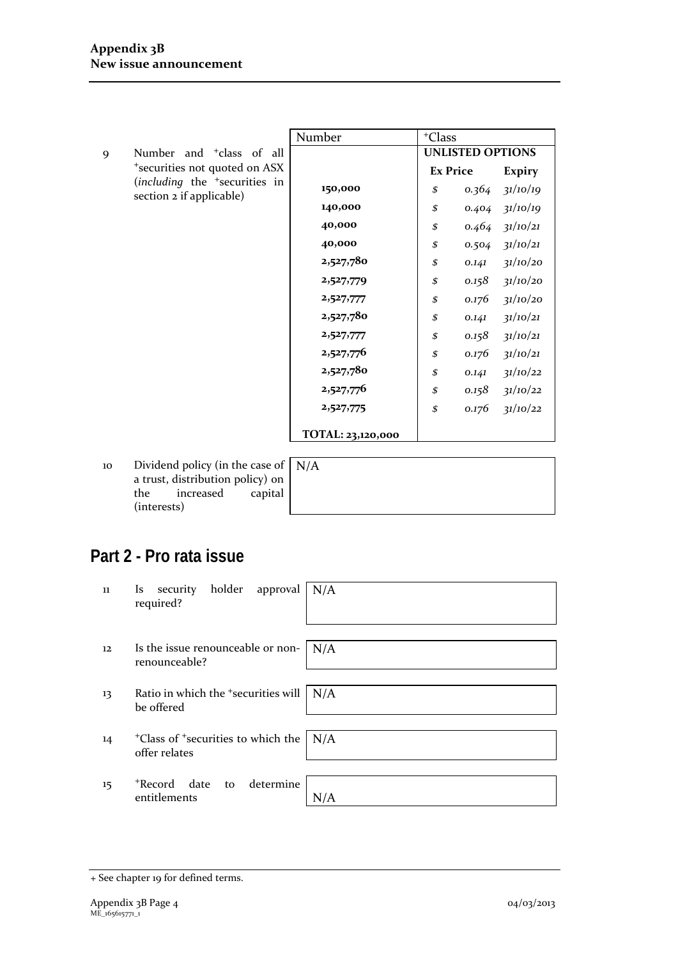|   |                                                                       | Number            | <sup>+</sup> Class      |       |               |
|---|-----------------------------------------------------------------------|-------------------|-------------------------|-------|---------------|
| 9 | Number and <sup>+</sup> class of<br>all                               |                   | <b>UNLISTED OPTIONS</b> |       |               |
|   | *securities not quoted on ASX                                         |                   | <b>Ex Price</b>         |       | <b>Expiry</b> |
|   | (including the <sup>+</sup> securities in<br>section 2 if applicable) | 150,000           | \$                      | 0.364 | 31/10/19      |
|   |                                                                       | 140,000           | \$                      | 0.404 | 31/10/19      |
|   |                                                                       | 40,000            | \$                      | 0.464 | 31/10/21      |
|   |                                                                       | 40,000            | \$                      | 0.504 | 31/10/21      |
|   |                                                                       | 2,527,780         | \$                      | 0.141 | 31/10/20      |
|   |                                                                       | 2,527,779         | \$                      | 0.158 | 31/10/20      |
|   |                                                                       | 2,527,777         | \$                      | 0.176 | 31/10/20      |
|   |                                                                       | 2,527,780         | \$                      | 0.141 | 31/10/21      |
|   |                                                                       | 2,527,777         | \$                      | 0.158 | 31/10/21      |
|   |                                                                       | 2,527,776         | \$                      | 0.176 | 31/10/21      |
|   |                                                                       | 2,527,780         | \$                      | 0.141 | 31/10/22      |
|   |                                                                       | 2,527,776         | \$                      | 0.158 | 31/10/22      |
|   |                                                                       | 2,527,775         | \$                      | 0.176 | 31/10/22      |
|   |                                                                       | TOTAL: 23,120,000 |                         |       |               |

10 Dividend policy (in the case of N/A a trust, distribution policy) on<br>the increased capital the  $\qquad$  increased (interests)

# **Part 2 - Pro rata issue**

| 11                | security holder approval $N/A$<br>$\mathbf{I}$ s<br>required?               |     |
|-------------------|-----------------------------------------------------------------------------|-----|
| $12 \overline{ }$ | Is the issue renounceable or non- $\mid N/A \rangle$<br>renounceable?       |     |
| 13                | Ratio in which the $\pm$ securities will   N/A<br>be offered                |     |
| 14                | <sup>+</sup> Class of <sup>+</sup> securities to which the<br>offer relates | N/A |
| 15                | to determine<br>+Record date<br>entitlements                                | N/A |

<sup>+</sup> See chapter 19 for defined terms.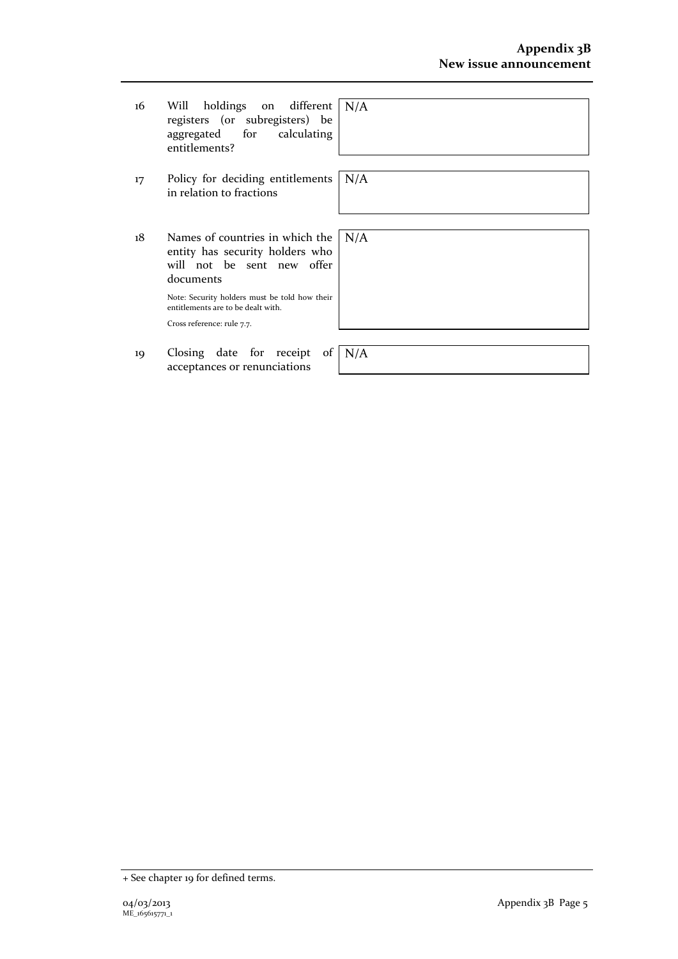- 16 Will holdings on different registers (or subregisters) be aggregated for calculating entitlements?
- 17 Policy for deciding entitlements in relation to fractions
- 18 Names of countries in which the entity has security holders who will not be sent new offer documents

Note: Security holders must be told how their entitlements are to be dealt with. Cross reference: rule 7.7.

19 Closing date for receipt of acceptances or renunciations

N/A

 $N/A$ 

N/A

 $N/A$ 

<sup>+</sup> See chapter 19 for defined terms.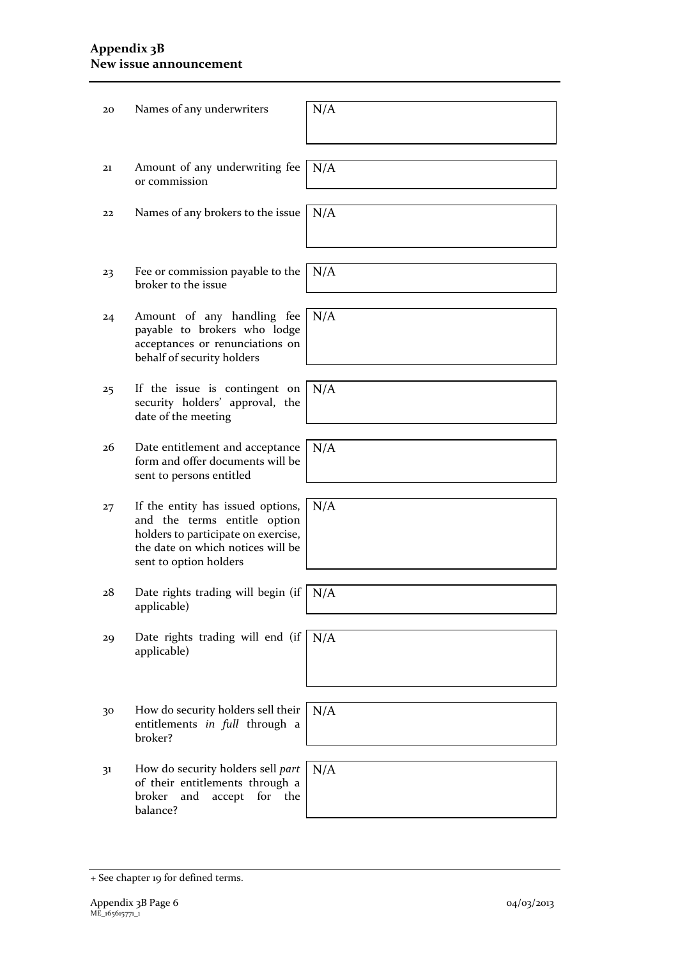### **Appendix 3B New issue announcement**

| 20 | Names of any underwriters                                                                                                                                               | N/A |
|----|-------------------------------------------------------------------------------------------------------------------------------------------------------------------------|-----|
| 21 | Amount of any underwriting fee<br>or commission                                                                                                                         | N/A |
| 22 | Names of any brokers to the issue                                                                                                                                       | N/A |
| 23 | Fee or commission payable to the<br>broker to the issue                                                                                                                 | N/A |
| 24 | Amount of any handling fee<br>payable to brokers who lodge<br>acceptances or renunciations on<br>behalf of security holders                                             | N/A |
| 25 | If the issue is contingent on<br>security holders' approval, the<br>date of the meeting                                                                                 | N/A |
| 26 | Date entitlement and acceptance<br>form and offer documents will be<br>sent to persons entitled                                                                         | N/A |
| 27 | If the entity has issued options,<br>and the terms entitle option<br>holders to participate on exercise,<br>the date on which notices will be<br>sent to option holders | N/A |
| 28 | Date rights trading will begin (if<br>applicable)                                                                                                                       | N/A |
| 29 | Date rights trading will end $(ii)$<br>applicable)                                                                                                                      | N/A |
| 30 | How do security holders sell their<br>entitlements in full through a<br>broker?                                                                                         | N/A |
| 31 | How do security holders sell part<br>of their entitlements through a<br>for<br>broker<br>and<br>accept<br>the<br>balance?                                               | N/A |

<sup>+</sup> See chapter 19 for defined terms.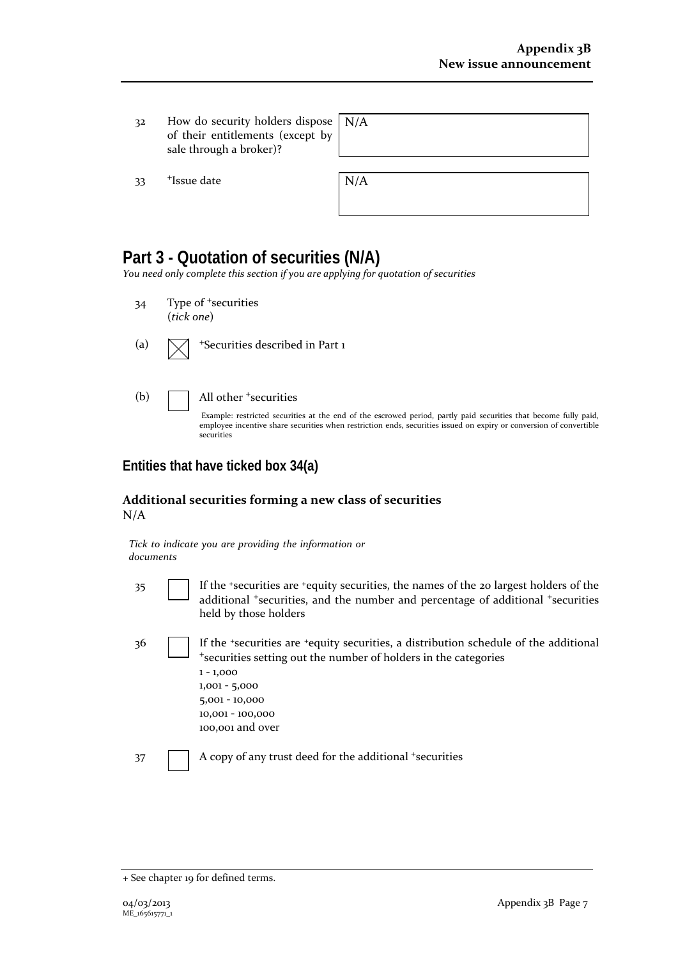32 How do security holders dispose of their entitlements (except by sale through a broker)? N/A

 $33$  +Issue date  $N/A$ 

## **Part 3 - Quotation of securities (N/A)**

*You need only complete this section if you are applying for quotation of securities*

34 Type of <sup>+</sup>securities (*tick one*) (a)  $\sqrt{\phantom{a}}$  +Securities described in Part 1 (b)  $\Box$  All other  $\ddagger$  securities Example: restricted securities at the end of the escrowed period, partly paid securities that become fully paid,

## **Entities that have ticked box 34(a)**

securities

### **Additional securities forming a new class of securities** N/A

*Tick to indicate you are providing the information or documents*

- 
- 35 If the <sup>+</sup>securities are <sup>+</sup>equity securities, the names of the 20 largest holders of the additional <sup>+</sup>securities, and the number and percentage of additional <sup>+</sup>securities held by those holders

employee incentive share securities when restriction ends, securities issued on expiry or conversion of convertible

36 If the +securities are +equity securities, a distribution schedule of the additional <sup>+</sup>securities setting out the number of holders in the categories 1 - 1,000 1,001 - 5,000 5,001 - 10,000 10,001 - 100,000 100,001 and over

37 A copy of any trust deed for the additional <sup>+</sup>securities

<sup>+</sup> See chapter 19 for defined terms.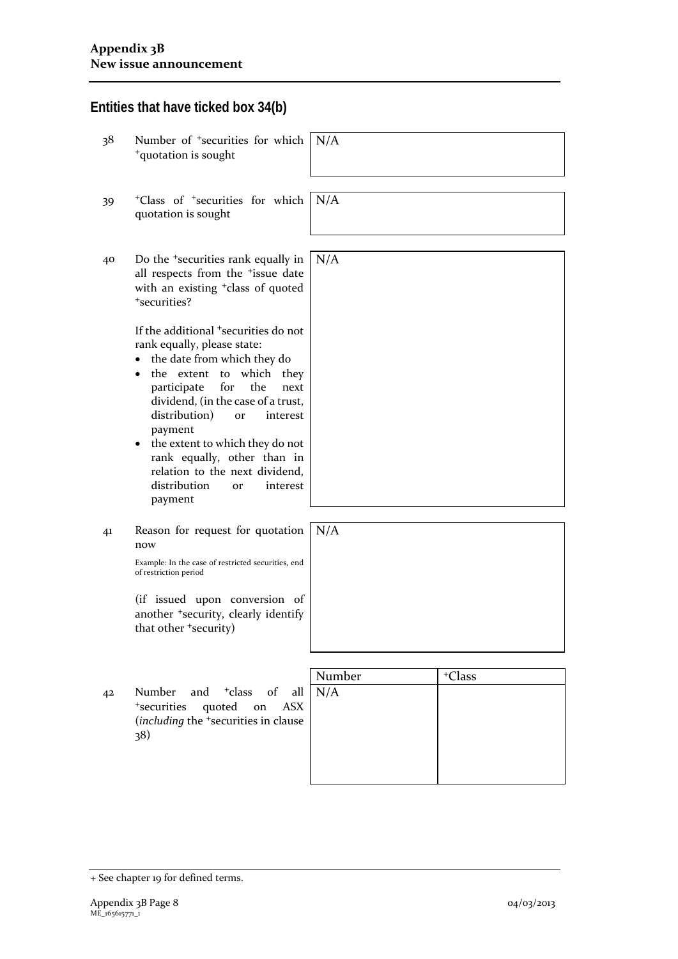## **Entities that have ticked box 34(b)**

| 38 | Number of <sup>+</sup> securities for which<br><sup>+</sup> quotation is sought                                                                                                                                                                                                                                                                                                                                                                                                                                                                                                                                     | N/A           |                    |
|----|---------------------------------------------------------------------------------------------------------------------------------------------------------------------------------------------------------------------------------------------------------------------------------------------------------------------------------------------------------------------------------------------------------------------------------------------------------------------------------------------------------------------------------------------------------------------------------------------------------------------|---------------|--------------------|
| 39 | <sup>+</sup> Class of <sup>+</sup> securities for which<br>quotation is sought                                                                                                                                                                                                                                                                                                                                                                                                                                                                                                                                      | N/A           |                    |
| 40 | Do the <sup>+</sup> securities rank equally in<br>all respects from the <sup>+</sup> issue date<br>with an existing <sup>+</sup> class of quoted<br>*securities?<br>If the additional <sup>+</sup> securities do not<br>rank equally, please state:<br>the date from which they do<br>extent<br>which<br>the<br>to<br>they<br>for<br>participate<br>the<br>next<br>dividend, (in the case of a trust,<br>distribution)<br><b>or</b><br>interest<br>payment<br>the extent to which they do not<br>rank equally, other than in<br>relation to the next dividend,<br>distribution<br>interest<br>$\alpha$ r<br>payment | N/A           |                    |
| 41 | Reason for request for quotation<br>now<br>Example: In the case of restricted securities, end<br>of restriction period<br>(if issued upon conversion of<br>another <sup>+</sup> security, clearly identify<br>that other 'security)                                                                                                                                                                                                                                                                                                                                                                                 | N/A           |                    |
| 42 | Number<br><sup>+</sup> class<br>of<br>all<br>and                                                                                                                                                                                                                                                                                                                                                                                                                                                                                                                                                                    | Number<br>N/A | <sup>+</sup> Class |

<sup>+</sup>securities quoted on ASX (*including* the <sup>+</sup>securities in clause  $38)$ 

| Number | <sup>+</sup> Class |
|--------|--------------------|
| N/A    |                    |
|        |                    |
|        |                    |
|        |                    |
|        |                    |
|        |                    |
|        |                    |

<sup>+</sup> See chapter 19 for defined terms.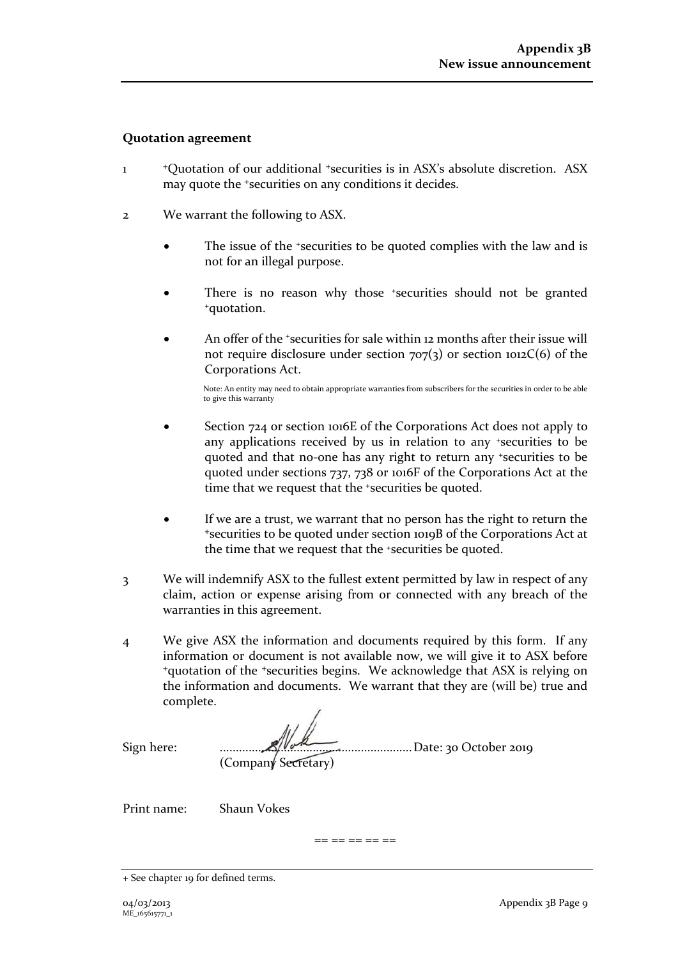### **Quotation agreement**

- 1 <sup>+</sup>Quotation of our additional +securities is in ASX's absolute discretion. ASX may quote the +securities on any conditions it decides.
- 2 We warrant the following to ASX.
	- The issue of the +securities to be quoted complies with the law and is not for an illegal purpose.
	- There is no reason why those \*securities should not be granted \*quotation.
	- An offer of the *\*securities* for sale within 12 months after their issue will not require disclosure under section  $707(3)$  or section 1012C(6) of the Corporations Act.

Note: An entity may need to obtain appropriate warranties from subscribers for the securities in order to be able to give this warranty

- Section 724 or section 1016E of the Corporations Act does not apply to any applications received by us in relation to any +securities to be quoted and that no-one has any right to return any +securities to be quoted under sections 737, 738 or 1016F of the Corporations Act at the time that we request that the <sup>+</sup>securities be quoted.
- If we are a trust, we warrant that no person has the right to return the <sup>+</sup>securities to be quoted under section 1019B of the Corporations Act at the time that we request that the +securities be quoted.
- 3 We will indemnify ASX to the fullest extent permitted by law in respect of any claim, action or expense arising from or connected with any breach of the warranties in this agreement.
- 4 We give ASX the information and documents required by this form. If any information or document is not available now, we will give it to ASX before <sup>+</sup>quotation of the +securities begins. We acknowledge that ASX is relying on the information and documents. We warrant that they are (will be) true and complete.

Sign here: ............................................................Date: 30 October 2019 (Company Secretary)

Print name: Shaun Vokes

== == == == ==

<sup>+</sup> See chapter 19 for defined terms.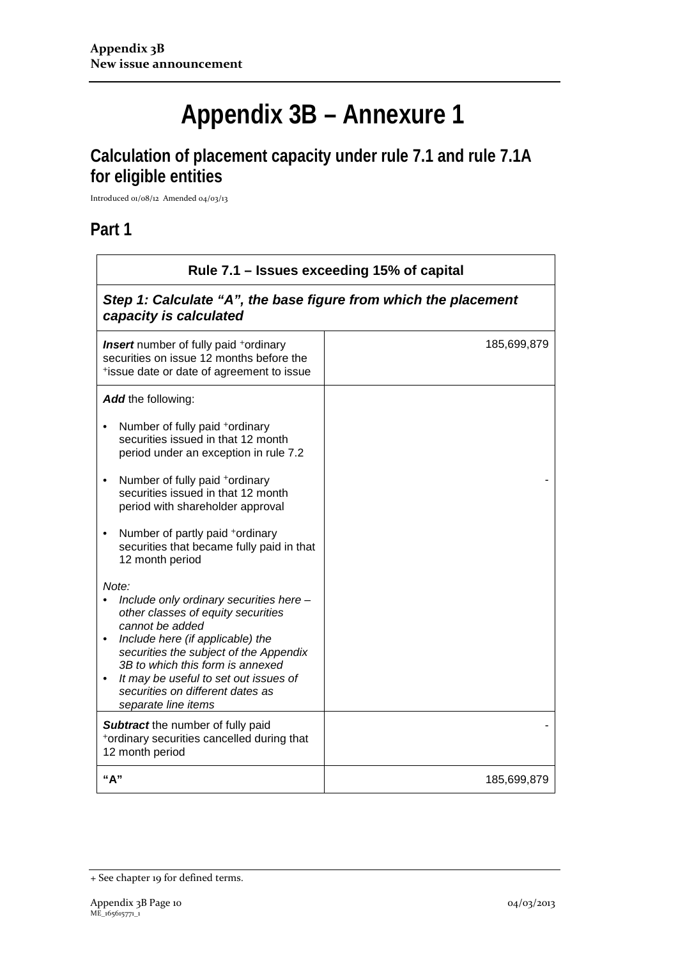# **Appendix 3B – Annexure 1**

# **Calculation of placement capacity under rule 7.1 and rule 7.1A for eligible entities**

Introduced 01/08/12 Amended 04/03/13

## **Part 1**

| Rule 7.1 – Issues exceeding 15% of capital<br>Step 1: Calculate "A", the base figure from which the placement<br>capacity is calculated                                                                                                                                                                                         |             |
|---------------------------------------------------------------------------------------------------------------------------------------------------------------------------------------------------------------------------------------------------------------------------------------------------------------------------------|-------------|
|                                                                                                                                                                                                                                                                                                                                 |             |
| Add the following:                                                                                                                                                                                                                                                                                                              |             |
| Number of fully paid +ordinary<br>$\bullet$<br>securities issued in that 12 month<br>period under an exception in rule 7.2                                                                                                                                                                                                      |             |
| Number of fully paid +ordinary<br>$\bullet$<br>securities issued in that 12 month<br>period with shareholder approval                                                                                                                                                                                                           |             |
| Number of partly paid +ordinary<br>$\bullet$<br>securities that became fully paid in that<br>12 month period                                                                                                                                                                                                                    |             |
| Note:<br>Include only ordinary securities here -<br>other classes of equity securities<br>cannot be added<br>Include here (if applicable) the<br>securities the subject of the Appendix<br>3B to which this form is annexed<br>It may be useful to set out issues of<br>securities on different dates as<br>separate line items |             |
| <b>Subtract</b> the number of fully paid<br>*ordinary securities cancelled during that<br>12 month period                                                                                                                                                                                                                       |             |
| "А"                                                                                                                                                                                                                                                                                                                             | 185,699,879 |

<sup>+</sup> See chapter 19 for defined terms.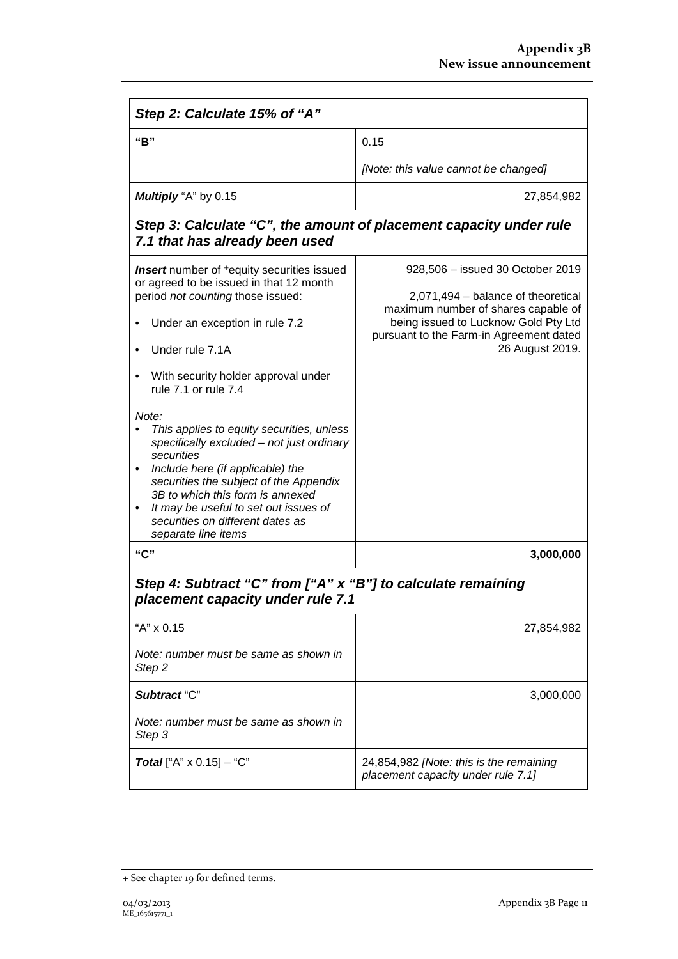| Step 2: Calculate 15% of "A"                                                                                                                                                                                                                                                                                                        |                                                                                                                                                       |  |
|-------------------------------------------------------------------------------------------------------------------------------------------------------------------------------------------------------------------------------------------------------------------------------------------------------------------------------------|-------------------------------------------------------------------------------------------------------------------------------------------------------|--|
| "B"                                                                                                                                                                                                                                                                                                                                 | 0.15                                                                                                                                                  |  |
|                                                                                                                                                                                                                                                                                                                                     | [Note: this value cannot be changed]                                                                                                                  |  |
| Multiply "A" by 0.15                                                                                                                                                                                                                                                                                                                | 27,854,982                                                                                                                                            |  |
| Step 3: Calculate "C", the amount of placement capacity under rule<br>7.1 that has already been used                                                                                                                                                                                                                                |                                                                                                                                                       |  |
| <b>Insert</b> number of <sup>+</sup> equity securities issued<br>or agreed to be issued in that 12 month<br>period not counting those issued:<br>Under an exception in rule 7.2                                                                                                                                                     | 928,506 - issued 30 October 2019<br>2,071,494 – balance of theoretical<br>maximum number of shares capable of<br>being issued to Lucknow Gold Pty Ltd |  |
| Under rule 7.1A                                                                                                                                                                                                                                                                                                                     | pursuant to the Farm-in Agreement dated<br>26 August 2019.                                                                                            |  |
| With security holder approval under<br>٠<br>rule 7.1 or rule 7.4                                                                                                                                                                                                                                                                    |                                                                                                                                                       |  |
| Note:<br>This applies to equity securities, unless<br>specifically excluded - not just ordinary<br>securities<br>Include here (if applicable) the<br>securities the subject of the Appendix<br>3B to which this form is annexed<br>It may be useful to set out issues of<br>securities on different dates as<br>separate line items |                                                                                                                                                       |  |
| "C"                                                                                                                                                                                                                                                                                                                                 | 3,000,000                                                                                                                                             |  |
| Step 4: Subtract "C" from ["A" x "B"] to calculate remaining<br>placement capacity under rule 7.1                                                                                                                                                                                                                                   |                                                                                                                                                       |  |
| "A" x 0.15                                                                                                                                                                                                                                                                                                                          | 27,854,982                                                                                                                                            |  |
| Note: number must be same as shown in<br>Step 2                                                                                                                                                                                                                                                                                     |                                                                                                                                                       |  |
| Subtract "C"                                                                                                                                                                                                                                                                                                                        | 3,000,000                                                                                                                                             |  |
| Note: number must be same as shown in<br>Step 3                                                                                                                                                                                                                                                                                     |                                                                                                                                                       |  |
| <b>Total</b> ["A" $\times$ 0.15] - "C"                                                                                                                                                                                                                                                                                              | 24,854,982 [Note: this is the remaining<br>placement capacity under rule 7.1]                                                                         |  |

<sup>+</sup> See chapter 19 for defined terms.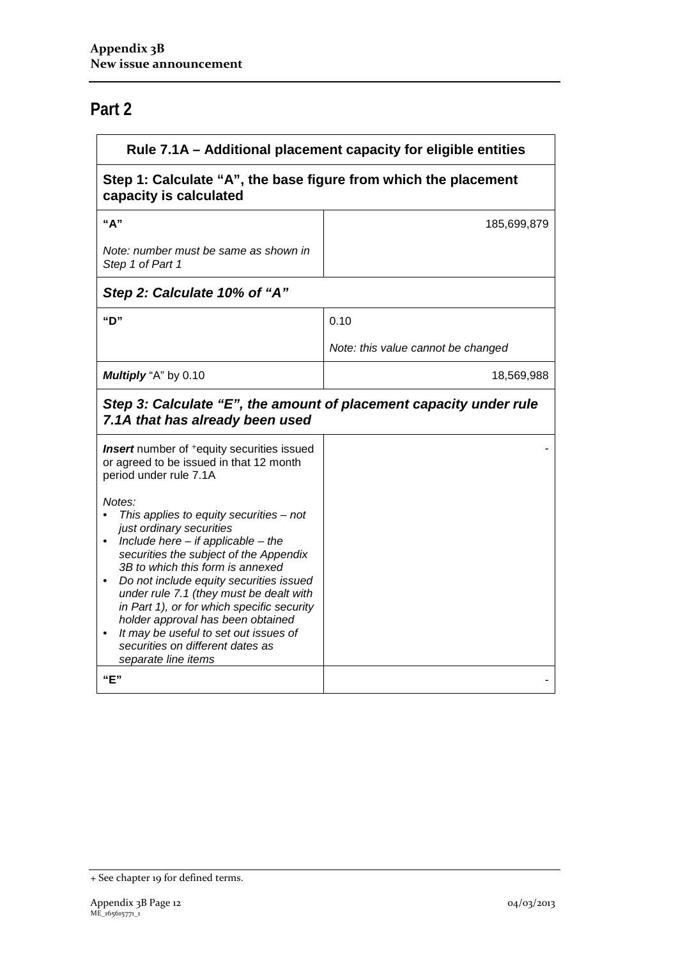# **Part 2**

| Rule 7.1A – Additional placement capacity for eligible entities                                                                                                                                                                                                                                                                                                                                                                                                                                               |                                    |  |
|---------------------------------------------------------------------------------------------------------------------------------------------------------------------------------------------------------------------------------------------------------------------------------------------------------------------------------------------------------------------------------------------------------------------------------------------------------------------------------------------------------------|------------------------------------|--|
| Step 1: Calculate "A", the base figure from which the placement<br>capacity is calculated                                                                                                                                                                                                                                                                                                                                                                                                                     |                                    |  |
| "A"                                                                                                                                                                                                                                                                                                                                                                                                                                                                                                           | 185,699,879                        |  |
| Note: number must be same as shown in<br>Step 1 of Part 1                                                                                                                                                                                                                                                                                                                                                                                                                                                     |                                    |  |
| Step 2: Calculate 10% of "A"                                                                                                                                                                                                                                                                                                                                                                                                                                                                                  |                                    |  |
| "ח"                                                                                                                                                                                                                                                                                                                                                                                                                                                                                                           | 0.10                               |  |
|                                                                                                                                                                                                                                                                                                                                                                                                                                                                                                               | Note: this value cannot be changed |  |
| Multiply "A" by 0.10                                                                                                                                                                                                                                                                                                                                                                                                                                                                                          | 18,569,988                         |  |
| Step 3: Calculate "E", the amount of placement capacity under rule<br>7.1A that has already been used                                                                                                                                                                                                                                                                                                                                                                                                         |                                    |  |
| <b>Insert</b> number of <sup>+</sup> equity securities issued<br>or agreed to be issued in that 12 month<br>period under rule 7.1A                                                                                                                                                                                                                                                                                                                                                                            |                                    |  |
| Notes:<br>This applies to equity securities $-$ not<br>just ordinary securities<br>Include here $-$ if applicable $-$ the<br>securities the subject of the Appendix<br>3B to which this form is annexed<br>Do not include equity securities issued<br>٠<br>under rule 7.1 (they must be dealt with<br>in Part 1), or for which specific security<br>holder approval has been obtained<br>It may be useful to set out issues of<br>$\bullet$<br>securities on different dates as<br>separate line items<br>"E" |                                    |  |
|                                                                                                                                                                                                                                                                                                                                                                                                                                                                                                               |                                    |  |

<sup>+</sup> See chapter 19 for defined terms.